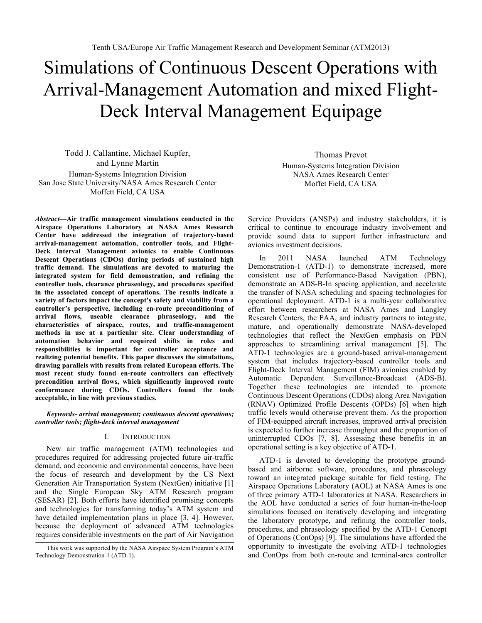# Simulations of Continuous Descent Operations with Arrival-Management Automation and mixed Flight-Deck Interval Management Equipage

Todd J. Callantine, Michael Kupfer, and Lynne Martin Human-Systems Integration Division San Jose State University/NASA Ames Research Center Moffett Field, CA USA

*Abstract***—Air traffic management simulations conducted in the Airspace Operations Laboratory at NASA Ames Research Center have addressed the integration of trajectory-based arrival-management automation, controller tools, and Flight-Deck Interval Management avionics to enable Continuous Descent Operations (CDOs) during periods of sustained high traffic demand. The simulations are devoted to maturing the integrated system for field demonstration, and refining the controller tools, clearance phraseology, and procedures specified in the associated concept of operations. The results indicate a variety of factors impact the concept's safety and viability from a controller's perspective, including en-route preconditioning of arrival flows, useable clearance phraseology, and the characteristics of airspace, routes, and traffic-management methods in use at a particular site. Clear understanding of automation behavior and required shifts in roles and responsibilities is important for controller acceptance and realizing potential benefits. This paper discusses the simulations, drawing parallels with results from related European efforts. The most recent study found en-route controllers can effectively precondition arrival flows, which significantly improved route conformance during CDOs. Controllers found the tools acceptable, in line with previous studies.**

*Keywords- arrival management; continuous descent operations; controller tools; flight-deck interval management*

## I. INTRODUCTION

New air traffic management (ATM) technologies and procedures required for addressing projected future air-traffic demand, and economic and environmental concerns, have been the focus of research and development by the US Next Generation Air Transportation System (NextGen) initiative [1] and the Single European Sky ATM Research program (SESAR) [2]. Both efforts have identified promising concepts and technologies for transforming today's ATM system and have detailed implementation plans in place [3, 4]. However, because the deployment of advanced ATM technologies requires considerable investments on the part of Air Navigation

Thomas Prevot Human-Systems Integration Division NASA Ames Research Center Moffet Field, CA USA

Service Providers (ANSPs) and industry stakeholders, it is critical to continue to encourage industry involvement and provide sound data to support further infrastructure and avionics investment decisions.

In 2011 NASA launched ATM Technology Demonstration-1 (ATD-1) to demonstrate increased, more consistent use of Performance-Based Navigation (PBN), demonstrate an ADS-B-In spacing application, and accelerate the transfer of NASA scheduling and spacing technologies for operational deployment. ATD-1 is a multi-year collaborative effort between researchers at NASA Ames and Langley Research Centers, the FAA, and industry partners to integrate, mature, and operationally demonstrate NASA-developed technologies that reflect the NextGen emphasis on PBN approaches to streamlining arrival management [5]. The ATD-1 technologies are a ground-based arrival-management system that includes trajectory-based controller tools and Flight-Deck Interval Management (FIM) avionics enabled by Automatic Dependent Surveillance-Broadcast (ADS-B). Together these technologies are intended to promote Continuous Descent Operations (CDOs) along Area Navigation (RNAV) Optimized Profile Descents (OPDs) [6] when high traffic levels would otherwise prevent them. As the proportion of FIM-equipped aircraft increases, improved arrival precision is expected to further increase throughput and the proportion of uninterrupted CDOs [7, 8]. Assessing these benefits in an operational setting is a key objective of ATD-1.

ATD-1 is devoted to developing the prototype groundbased and airborne software, procedures, and phraseology toward an integrated package suitable for field testing. The Airspace Operations Laboratory (AOL) at NASA Ames is one of three primary ATD-1 laboratories at NASA. Researchers in the AOL have conducted a series of four human-in-the-loop simulations focused on iteratively developing and integrating the laboratory prototype, and refining the controller tools, procedures, and phraseology specified by the ATD-1 Concept of Operations (ConOps) [9]. The simulations have afforded the opportunity to investigate the evolving ATD-1 technologies and ConOps from both en-route and terminal-area controller

This work was supported by the NASA Airspace System Program's ATM Technology Demonstration-1 (ATD-1).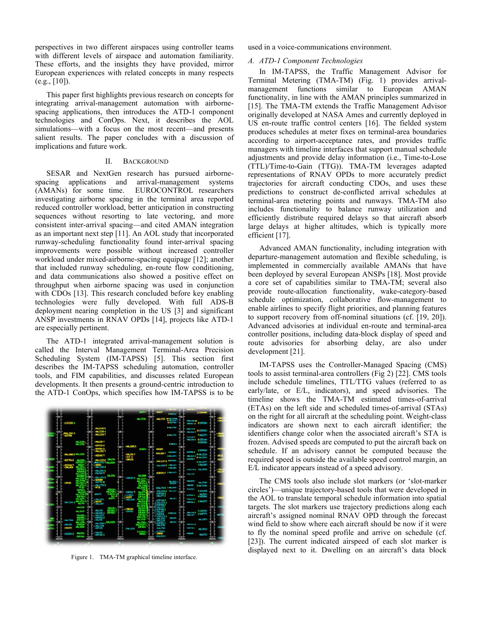perspectives in two different airspaces using controller teams with different levels of airspace and automation familiarity. These efforts, and the insights they have provided, mirror European experiences with related concepts in many respects  $(e.g., [10]).$ 

This paper first highlights previous research on concepts for integrating arrival-management automation with airbornespacing applications, then introduces the ATD-1 component technologies and ConOps. Next, it describes the AOL simulations—with a focus on the most recent—and presents salient results. The paper concludes with a discussion of implications and future work.

## II. BACKGROUND

SESAR and NextGen research has pursued airbornespacing applications and arrival-management systems (AMANs) for some time. EUROCONTROL researchers investigating airborne spacing in the terminal area reported reduced controller workload, better anticipation in constructing sequences without resorting to late vectoring, and more consistent inter-arrival spacing—and cited AMAN integration as an important next step [11]. An AOL study that incorporated runway-scheduling functionality found inter-arrival spacing improvements were possible without increased controller workload under mixed-airborne-spacing equipage [12]; another that included runway scheduling, en-route flow conditioning, and data communications also showed a positive effect on throughput when airborne spacing was used in conjunction with CDOs [13]. This research concluded before key enabling technologies were fully developed. With full ADS-B deployment nearing completion in the US [3] and significant ANSP investments in RNAV OPDs [14], projects like ATD-1 are especially pertinent.

The ATD-1 integrated arrival-management solution is called the Interval Management Terminal-Area Precision Scheduling System (IM-TAPSS) [5]. This section first describes the IM-TAPSS scheduling automation, controller tools, and FIM capabilities, and discusses related European developments. It then presents a ground-centric introduction to the ATD-1 ConOps, which specifies how IM-TAPSS is to be



Figure 1. TMA-TM graphical timeline interface.

used in a voice-communications environment.

## *A. ATD-1 Component Technologies*

In IM-TAPSS, the Traffic Management Advisor for Terminal Metering (TMA-TM) (Fig. 1) provides arrivalmanagement functions similar to European AMAN functionality, in line with the AMAN principles summarized in [15]. The TMA-TM extends the Traffic Management Advisor originally developed at NASA Ames and currently deployed in US en-route traffic control centers [16]. The fielded system produces schedules at meter fixes on terminal-area boundaries according to airport-acceptance rates, and provides traffic managers with timeline interfaces that support manual schedule adjustments and provide delay information (i.e., Time-to-Lose (TTL)/Time-to-Gain (TTG)). TMA-TM leverages adapted representations of RNAV OPDs to more accurately predict trajectories for aircraft conducting CDOs, and uses these predictions to construct de-conflicted arrival schedules at terminal-area metering points and runways. TMA-TM also includes functionality to balance runway utilization and efficiently distribute required delays so that aircraft absorb large delays at higher altitudes, which is typically more efficient [17].

Advanced AMAN functionality, including integration with departure-management automation and flexible scheduling, is implemented in commercially available AMANs that have been deployed by several European ANSPs [18]. Most provide a core set of capabilities similar to TMA-TM; several also provide route-allocation functionality, wake-category-based schedule optimization, collaborative flow-management to enable airlines to specify flight priorities, and planning features to support recovery from off-nominal situations (cf. [19, 20]). Advanced advisories at individual en-route and terminal-area controller positions, including data-block display of speed and route advisories for absorbing delay, are also under development [21].

IM-TAPSS uses the Controller-Managed Spacing (CMS) tools to assist terminal-area controllers (Fig 2) [22]. CMS tools include schedule timelines, TTL/TTG values (referred to as early/late, or E/L, indicators), and speed advisories. The timeline shows the TMA-TM estimated times-of-arrival (ETAs) on the left side and scheduled times-of-arrival (STAs) on the right for all aircraft at the scheduling point. Weight-class indicators are shown next to each aircraft identifier; the identifiers change color when the associated aircraft's STA is frozen. Advised speeds are computed to put the aircraft back on schedule. If an advisory cannot be computed because the required speed is outside the available speed control margin, an E/L indicator appears instead of a speed advisory.

The CMS tools also include slot markers (or 'slot-marker circles')—unique trajectory-based tools that were developed in the AOL to translate temporal schedule information into spatial targets. The slot markers use trajectory predictions along each aircraft's assigned nominal RNAV OPD through the forecast wind field to show where each aircraft should be now if it were to fly the nominal speed profile and arrive on schedule (cf. [23]). The current indicated airspeed of each slot marker is displayed next to it. Dwelling on an aircraft's data block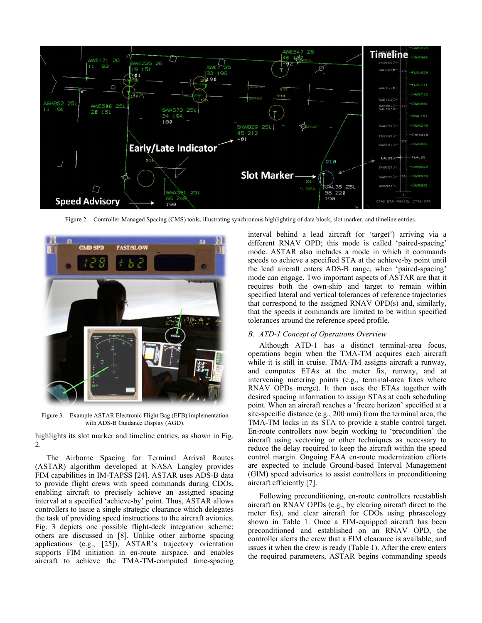

Figure 2. Controller-Managed Spacing (CMS) tools, illustrating synchronous highlighting of data block, slot marker, and timeline entries.



Figure 3. Example ASTAR Electronic Flight Bag (EFB) implementation with ADS-B Guidance Display (AGD).

highlights its slot marker and timeline entries, as shown in Fig. 2.

The Airborne Spacing for Terminal Arrival Routes (ASTAR) algorithm developed at NASA Langley provides FIM capabilities in IM-TAPSS [24]. ASTAR uses ADS-B data to provide flight crews with speed commands during CDOs, enabling aircraft to precisely achieve an assigned spacing interval at a specified 'achieve-by' point. Thus, ASTAR allows controllers to issue a single strategic clearance which delegates the task of providing speed instructions to the aircraft avionics. Fig. 3 depicts one possible flight-deck integration scheme; others are discussed in [8]. Unlike other airborne spacing applications (e.g., [25]), ASTAR's trajectory orientation supports FIM initiation in en-route airspace, and enables aircraft to achieve the TMA-TM-computed time-spacing

interval behind a lead aircraft (or 'target') arriving via a different RNAV OPD; this mode is called 'paired-spacing' mode. ASTAR also includes a mode in which it commands speeds to achieve a specified STA at the achieve-by point until the lead aircraft enters ADS-B range, when 'paired-spacing' mode can engage. Two important aspects of ASTAR are that it requires both the own-ship and target to remain within specified lateral and vertical tolerances of reference trajectories that correspond to the assigned RNAV OPD(s) and, similarly, that the speeds it commands are limited to be within specified tolerances around the reference speed profile.

#### *B. ATD-1 Concept of Operations Overview*

Although ATD-1 has a distinct terminal-area focus, operations begin when the TMA-TM acquires each aircraft while it is still in cruise. TMA-TM assigns aircraft a runway, and computes ETAs at the meter fix, runway, and at intervening metering points (e.g., terminal-area fixes where RNAV OPDs merge). It then uses the ETAs together with desired spacing information to assign STAs at each scheduling point. When an aircraft reaches a 'freeze horizon' specified at a site-specific distance (e.g., 200 nmi) from the terminal area, the TMA-TM locks in its STA to provide a stable control target. En-route controllers now begin working to 'precondition' the aircraft using vectoring or other techniques as necessary to reduce the delay required to keep the aircraft within the speed control margin. Ongoing FAA en-route modernization efforts are expected to include Ground-based Interval Management (GIM) speed advisories to assist controllers in preconditioning aircraft efficiently [7].

Following preconditioning, en-route controllers reestablish aircraft on RNAV OPDs (e.g., by clearing aircraft direct to the meter fix), and clear aircraft for CDOs using phraseology shown in Table 1. Once a FIM-equipped aircraft has been preconditioned and established on an RNAV OPD, the controller alerts the crew that a FIM clearance is available, and issues it when the crew is ready (Table 1). After the crew enters the required parameters, ASTAR begins commanding speeds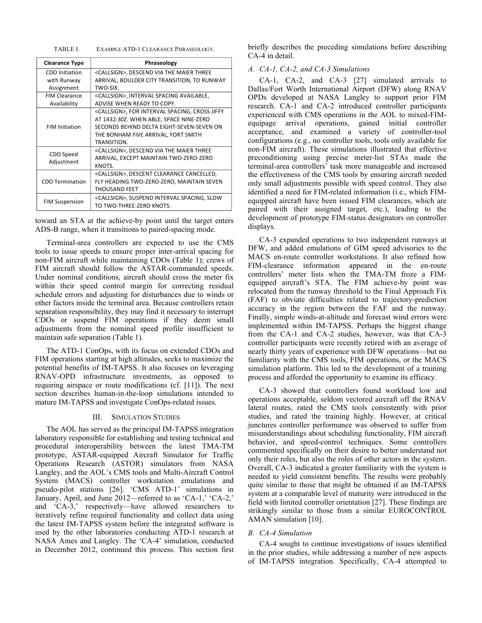TABLE I. EXAMPLE ATD-1 CLEARANCE PHRASEOLOGY.

| <b>Clearance Type</b>                                                                                                                                 | Phraseology                                                                                                                                                                                                |  |  |  |
|-------------------------------------------------------------------------------------------------------------------------------------------------------|------------------------------------------------------------------------------------------------------------------------------------------------------------------------------------------------------------|--|--|--|
| CDO Initiation<br>with Runway<br>Assignment                                                                                                           | <callsign>, DESCEND VIA THE MAIER THREE<br/>ARRIVAL, BOULDER CITY TRANSITION, TO RUNWAY<br/>TWO-SIX.</callsign>                                                                                            |  |  |  |
| <b>FIM Clearance</b><br>Availability                                                                                                                  | <callsign>, INTERVAL SPACING AVAILABLE,<br/>ADVISE WHEN READY TO COPY.</callsign>                                                                                                                          |  |  |  |
| <b>FIM Initiation</b>                                                                                                                                 | <callsign>, FOR INTERVAL SPACING, CROSS JIFFY<br/>AT 1432:30Z. WHEN ABLE, SPACE NINE-ZERO<br/>SECONDS BEHIND DELTA EIGHT-SEVEN-SEVEN ON<br/>THE BONHAM FIVE ARRIVAL, FORT SMITH<br/>TRANSITION.</callsign> |  |  |  |
| CDO Speed<br>Adjustment                                                                                                                               | <callsign>, DESCEND VIA THE MAIER THREE<br/>ARRIVAL, EXCEPT MAINTAIN TWO-ZERO-ZERO<br/>KNOTS.</callsign>                                                                                                   |  |  |  |
| <callsign>, DESCENT CLEARANCE CANCELLED,<br/><b>CDO Termination</b><br/>FLY HEADING TWO-ZERO-ZERO, MAINTAIN SEVEN<br/><b>THOUSAND FEET</b></callsign> |                                                                                                                                                                                                            |  |  |  |
| <b>FIM Suspension</b>                                                                                                                                 | <callsign>, SUSPEND INTERVAL SPACING, SLOW<br/>TO TWO-THREE-ZERO KNOTS.</callsign>                                                                                                                         |  |  |  |

toward an STA at the achieve-by point until the target enters ADS-B range, when it transitions to paired-spacing mode.

Terminal-area controllers are expected to use the CMS tools to issue speeds to ensure proper inter-arrival spacing for non-FIM aircraft while maintaining CDOs (Table 1); crews of FIM aircraft should follow the ASTAR-commanded speeds. Under nominal conditions, aircraft should cross the meter fix within their speed control margin for correcting residual schedule errors and adjusting for disturbances due to winds or other factors inside the terminal area. Because controllers retain separation responsibility, they may find it necessary to interrupt CDOs or suspend FIM operations if they deem small adjustments from the nominal speed profile insufficient to maintain safe separation (Table 1).

The ATD-1 ConOps, with its focus on extended CDOs and FIM operations starting at high altitudes, seeks to maximize the potential benefits of IM-TAPSS. It also focuses on leveraging RNAV-OPD infrastructure investments, as opposed to requiring airspace or route modifications (cf. [11]). The next section describes human-in-the-loop simulations intended to mature IM-TAPSS and investigate ConOps-related issues.

#### III. SIMULATION STUDIES

The AOL has served as the principal IM-TAPSS integration laboratory responsible for establishing and testing technical and procedural interoperability between the latest TMA-TM prototype, ASTAR-equipped Aircraft Simulator for Traffic Operations Research (ASTOR) simulators from NASA Langley, and the AOL's CMS tools and Multi-Aircraft Control System (MACS) controller workstation emulations and pseudo-pilot stations [26]. 'CMS ATD-1' simulations in January, April, and June 2012—referred to as 'CA-1,' 'CA-2,' and 'CA-3,' respectively—have allowed researchers to iteratively refine required functionality and collect data using the latest IM-TAPSS system before the integrated software is used by the other laboratories conducting ATD-1 research at NASA Ames and Langley. The 'CA-4' simulation, conducted in December 2012, continued this process. This section first

briefly describes the preceding simulations before describing CA-4 in detail.

## *A. CA-1, CA-2, and CA-3 Simulations*

CA-1, CA-2, and CA-3 [27] simulated arrivals to Dallas/Fort Worth International Airport (DFW) along RNAV OPDs developed at NASA Langley to support prior FIM research. CA-1 and CA-2 introduced controller participants experienced with CMS operations in the AOL to mixed-FIMequipage arrival operations, gained initial controller acceptance, and examined a variety of controller-tool configurations (e.g., no controller tools, tools only available for non-FIM aircraft). These simulations illustrated that effective preconditioning using precise meter-list STAs made the terminal-area controllers' task more manageable and increased the effectiveness of the CMS tools by ensuring aircraft needed only small adjustments possible with speed control. They also identified a need for FIM-related information (i.e., which FIMequipped aircraft have been issued FIM clearances, which are paired with their assigned target, etc.), leading to the development of prototype FIM-status designators on controller displays.

CA-3 expanded operations to two independent runways at DFW, and added emulations of GIM speed advisories to the MACS en-route controller workstations. It also refined how FIM-clearance information appeared in the en-route controllers' meter lists when the TMA-TM froze a FIMequipped aircraft's STA. The FIM achieve-by point was relocated from the runway threshold to the Final Approach Fix (FAF) to obviate difficulties related to trajectory-prediction accuracy in the region between the FAF and the runway. Finally, simple winds-at-altitude and forecast wind errors were implemented within IM-TAPSS. Perhaps the biggest change from the CA-1 and CA-2 studies, however, was that CA-3 controller participants were recently retired with an average of nearly thirty years of experience with DFW operations—but no familiarity with the CMS tools, FIM operations, or the MACS simulation platform. This led to the development of a training process and afforded the opportunity to examine its efficacy.

CA-3 showed that controllers found workload low and operations acceptable, seldom vectored aircraft off the RNAV lateral routes, rated the CMS tools consistently with prior studies, and rated the training highly. However, at critical junctures controller performance was observed to suffer from misunderstandings about scheduling functionality, FIM aircraft behavior, and speed-control techniques. Some controllers commented specifically on their desire to better understand not only their roles, but also the roles of other actors in the system. Overall, CA-3 indicated a greater familiarity with the system is needed to yield consistent benefits. The results were probably quite similar to those that might be obtained if an IM-TAPSS system at a comparable level of maturity were introduced in the field with limited controller orientation [27]. These findings are strikingly similar to those from a similar EUROCONTROL AMAN simulation [10].

#### *B. CA-4 Simulation*

CA-4 sought to continue investigations of issues identified in the prior studies, while addressing a number of new aspects of IM-TAPSS integration. Specifically, CA-4 attempted to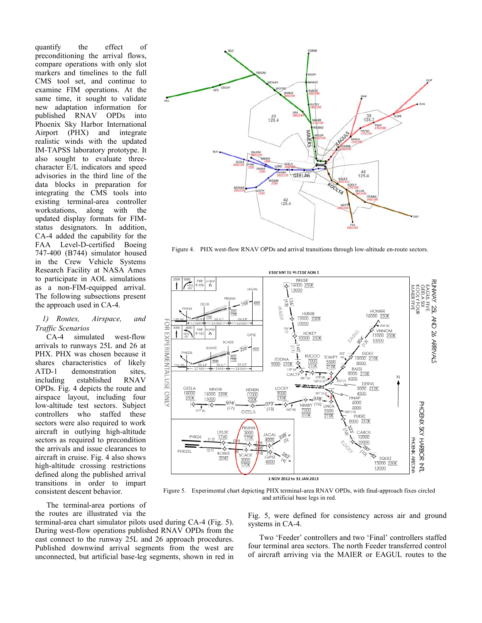quantify the effect of preconditioning the arrival flows, compare operations with only slot markers and timelines to the full CMS tool set, and continue to examine FIM operations. At the same time, it sought to validate new adaptation information for published RNAV OPDs into Phoenix Sky Harbor International Airport (PHX) and integrate realistic winds with the updated IM-TAPSS laboratory prototype. It also sought to evaluate threecharacter E/L indicators and speed advisories in the third line of the data blocks in preparation for integrating the CMS tools into existing terminal-area controller workstations, along with the updated display formats for FIMstatus designators. In addition, CA-4 added the capability for the FAA Level-D-certified Boeing 747-400 (B744) simulator housed in the Crew Vehicle Systems Research Facility at NASA Ames to participate in AOL simulations as a non-FIM-equipped arrival. The following subsections present the approach used in CA-4.

# *1) Routes, Airspace, and Traffic Scenarios*

CA-4 simulated west-flow arrivals to runways 25L and 26 at PHX. PHX was chosen because it shares characteristics of likely ATD-1 demonstration sites, including established RNAV OPDs. Fig. 4 depicts the route and airspace layout, including four low-altitude test sectors. Subject controllers who staffed these sectors were also required to work aircraft in outlying high-altitude sectors as required to precondition the arrivals and issue clearances to aircraft in cruise. Fig. 4 also shows high-altitude crossing restrictions defined along the published arrival transitions in order to impart consistent descent behavior.

the routes are illustrated via the

1 NOV 2012 to 31 JAN 2013 Figure 5. Experimental chart depicting PHX terminal-area RNAV OPDs, with final-approach fixes circled and artificial base legs in red. The terminal-area portions of terminal-area chart simulator pilots used during CA-4 (Fig. 5). During west-flow operations published RNAV OPDs from the east connect to the runway 25L and 26 approach procedures.

ç

PXR<br>-336 ∨E'<br>∆

 $\Delta$ 

PHX26

**PHX251** 

SCADE

1740

♦

KONTE

2040

3000<br>1701

**GIPS** 

 $\frac{3000}{170K}$ 

\$

ó

3000<br>170K

:<br>Ade

4000

 $258$ 

Published downwind arrival segments from the west are unconnected, but artificial base-leg segments, shown in red in Fig. 5, were defined for consistency across air and ground systems in CA-4.

**252 XXWNOS** 

AND 26 ARRIVALS

EAGUL<br>KOOLY<br>GELA<br>MIER

IL FIVE<br>A SIX<br>A SIX<br>A FOUR

**PHOSIA ARDAR** 

HOMPE

16000 250K

10000

ESDEE

10000 210K

12000

0000

SQUEZ

15000 250K 12000

 $\sqrt{204°(4)}$ 

**VNNOM** 

11000 250K

Two 'Feeder' controllers and two 'Final' controllers staffed four terminal area sectors. The north Feeder transferred control of aircraft arriving via the MAIER or EAGUL routes to the



 $228.$ JAGAL

4000

л

♦

 $4000$ 



Figure 4. PHX west-flow RNAV OPDs and arrival transitions through low-altitude en-route sectors.

16000 250K

**HUBUB** 

12000 250K

**HOKE** 

0000 250K

KUCOC

 $10000$ 

Ξ

13000

J MAIER

ΕΊΟΣ ΝΑΙ ΓΕ 01 SΙΟΣ VON 1 **BRUSE**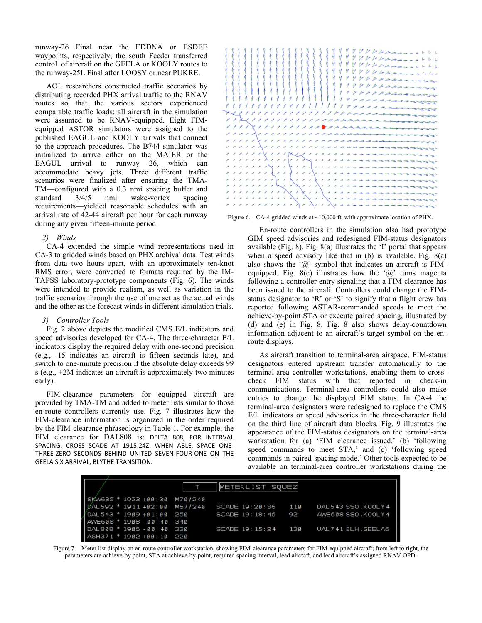runway-26 Final near the EDDNA or ESDEE waypoints, respectively; the south Feeder transferred control of aircraft on the GEELA or KOOLY routes to the runway-25L Final after LOOSY or near PUKRE.

AOL researchers constructed traffic scenarios by distributing recorded PHX arrival traffic to the RNAV routes so that the various sectors experienced comparable traffic loads; all aircraft in the simulation were assumed to be RNAV-equipped. Eight FIMequipped ASTOR simulators were assigned to the published EAGUL and KOOLY arrivals that connect to the approach procedures. The B744 simulator was initialized to arrive either on the MAIER or the EAGUL arrival to runway 26, which can accommodate heavy jets. Three different traffic scenarios were finalized after ensuring the TMA-TM—configured with a 0.3 nmi spacing buffer and standard 3/4/5 nmi wake-vortex spacing requirements—yielded reasonable schedules with an arrival rate of 42-44 aircraft per hour for each runway during any given fifteen-minute period.

#### *2) Winds*

CA-4 extended the simple wind representations used in CA-3 to gridded winds based on PHX archival data. Test winds from data two hours apart, with an approximately ten-knot RMS error, were converted to formats required by the IM-TAPSS laboratory-prototype components (Fig. 6). The winds were intended to provide realism, as well as variation in the traffic scenarios through the use of one set as the actual winds and the other as the forecast winds in different simulation trials.

## *3) Controller Tools*

Fig. 2 above depicts the modified CMS E/L indicators and speed advisories developed for CA-4. The three-character E/L indicators display the required delay with one-second precision (e.g., -15 indicates an aircraft is fifteen seconds late), and switch to one-minute precision if the absolute delay exceeds 99 s (e.g., +2M indicates an aircraft is approximately two minutes early).

FIM-clearance parameters for equipped aircraft are provided by TMA-TM and added to meter lists similar to those en-route controllers currently use. Fig. 7 illustrates how the FIM-clearance information is organized in the order required by the FIM-clearance phraseology in Table 1. For example, the FIM clearance for DAL808 is: DELTA 808, FOR INTERVAL SPACING, CROSS SCADE AT 1915:24Z. WHEN ABLE, SPACE ONE-THREE-ZERO SECONDS BEHIND UNITED SEVEN-FOUR-ONE ON THE GEELA SIX ARRIVAL, BLYTHE TRANSITION.



Figure 6. CA-4 gridded winds at ~10,000 ft, with approximate location of PHX.

En-route controllers in the simulation also had prototype GIM speed advisories and redesigned FIM-status designators available (Fig. 8). Fig. 8(a) illustrates the 'I' portal that appears when a speed advisory like that in (b) is available. Fig. 8(a) also shows the ' $\omega$ ' symbol that indicates an aircraft is FIMequipped. Fig. 8(c) illustrates how the ' $\omega$ ' turns magenta following a controller entry signaling that a FIM clearance has been issued to the aircraft. Controllers could change the FIMstatus designator to 'R' or 'S' to signify that a flight crew has reported following ASTAR-commanded speeds to meet the achieve-by-point STA or execute paired spacing, illustrated by (d) and (e) in Fig. 8. Fig. 8 also shows delay-countdown information adjacent to an aircraft's target symbol on the enroute displays.

As aircraft transition to terminal-area airspace, FIM-status designators entered upstream transfer automatically to the terminal-area controller workstations, enabling them to crosscheck FIM status with that reported in check-in communications. Terminal-area controllers could also make entries to change the displayed FIM status. In CA-4 the terminal-area designators were redesigned to replace the CMS E/L indicators or speed advisories in the three-character field on the third line of aircraft data blocks. Fig. 9 illustrates the appearance of the FIM-status designators on the terminal-area workstation for (a) 'FIM clearance issued,' (b) 'following speed commands to meet STA,' and (c) 'following speed commands in paired-spacing mode.' Other tools expected to be available on terminal-area controller workstations during the

| $5xw635 * 1923 +88:38 N78/248$<br>METERLIST SQUEZ |                    |     |                      |  |  |
|---------------------------------------------------|--------------------|-----|----------------------|--|--|
|                                                   |                    |     |                      |  |  |
|                                                   | SCADE 19:20:36     | 110 | DAL 543 SSO, KOOLY 4 |  |  |
|                                                   | SCADE 19:18:46     | 92  | AWE608 SSO, KOOLY 4  |  |  |
|                                                   |                    |     |                      |  |  |
|                                                   | SCADE 19:15:24 130 |     | UAL 741 BLH.GEELA6   |  |  |
|                                                   |                    |     |                      |  |  |

Figure 7. Meter list display on en-route controller workstation, showing FIM-clearance parameters for FIM-equipped aircraft; from left to right, the parameters are achieve-by point, STA at achieve-by-point, required spacing interval, lead aircraft, and lead aircraft's assigned RNAV OPD.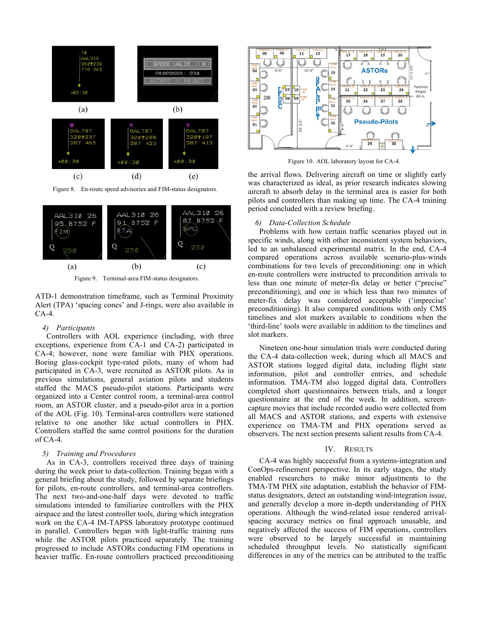

Figure 8. En-route speed advisories and FIM-status designators.





ATD-1 demonstration timeframe, such as Terminal Proximity Alert (TPA) 'spacing cones' and J-rings, were also available in CA-4.

#### *4) Participants*

Controllers with AOL experience (including, with three exceptions, experience from CA-1 and CA-2) participated in CA-4; however, none were familiar with PHX operations. Boeing glass-cockpit type-rated pilots, many of whom had participated in CA-3, were recruited as ASTOR pilots. As in previous simulations, general aviation pilots and students staffed the MACS pseudo-pilot stations. Participants were organized into a Center control room, a terminal-area control room, an ASTOR cluster, and a pseudo-pilot area in a portion of the AOL (Fig. 10). Terminal-area controllers were stationed relative to one another like actual controllers in PHX. Controllers staffed the same control positions for the duration of  $CA-4$ .

#### *5) Training and Procedures*

As in CA-3, controllers received three days of training during the week prior to data-collection. Training began with a general briefing about the study, followed by separate briefings for pilots, en-route controllers, and terminal-area controllers. The next two-and-one-half days were devoted to traffic simulations intended to familiarize controllers with the PHX airspace and the latest controller tools, during which integration work on the CA-4 IM-TAPSS laboratory prototype continued in parallel. Controllers began with light-traffic training runs while the ASTOR pilots practiced separately. The training progressed to include ASTORs conducting FIM operations in heavier traffic. En-route controllers practiced preconditioning



Figure 10. AOL laboratory layout for CA-4.

the arrival flows. Delivering aircraft on time or slightly early was characterized as ideal, as prior research indicates slowing aircraft to absorb delay in the terminal area is easier for both pilots and controllers than making up time. The CA-4 training period concluded with a review briefing.

## *6) Data-Collection Schedule*

Problems with how certain traffic scenarios played out in specific winds, along with other inconsistent system behaviors, led to an unbalanced experimental matrix. In the end, CA-4 compared operations across available scenario-plus-winds combinations for two levels of preconditioning: one in which en-route controllers were instructed to precondition arrivals to less than one minute of meter-fix delay or better ("precise" preconditioning), and one in which less than two minutes of meter-fix delay was considered acceptable ('imprecise' preconditioning). It also compared conditions with only CMS timelines and slot markers available to conditions when the 'third-line' tools were available in addition to the timelines and slot markers.

Nineteen one-hour simulation trials were conducted during the CA-4 data-collection week, during which all MACS and ASTOR stations logged digital data, including flight state information, pilot and controller entries, and schedule information. TMA-TM also logged digital data. Controllers completed short questionnaires between trials, and a longer questionnaire at the end of the week. In addition, screencapture movies that include recorded audio were collected from all MACS and ASTOR stations, and experts with extensive experience on TMA-TM and PHX operations served as observers. The next section presents salient results from CA-4.

#### IV. RESULTS

CA-4 was highly successful from a systems-integration and ConOps-refinement perspective. In its early stages, the study enabled researchers to make minor adjustments to the TMA-TM PHX site adaptation, establish the behavior of FIMstatus designators, detect an outstanding wind-integration issue, and generally develop a more in-depth understanding of PHX operations. Although the wind-related issue rendered arrivalspacing accuracy metrics on final approach unusable, and negatively affected the success of FIM operations, controllers were observed to be largely successful in maintaining scheduled throughput levels. No statistically significant differences in any of the metrics can be attributed to the traffic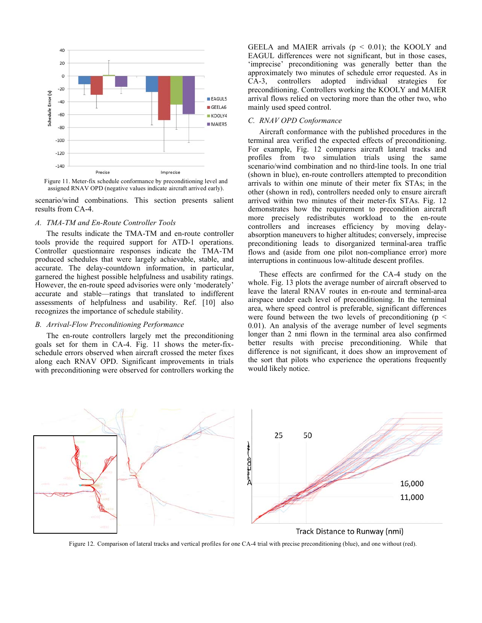

Figure 11. Meter-fix schedule conformance by preconditioning level and assigned RNAV OPD (negative values indicate aircraft arrived early).

scenario/wind combinations. This section presents salient results from CA-4.

# *A. TMA-TM and En-Route Controller Tools*

The results indicate the TMA-TM and en-route controller tools provide the required support for ATD-1 operations. Controller questionnaire responses indicate the TMA-TM produced schedules that were largely achievable, stable, and accurate. The delay-countdown information, in particular, garnered the highest possible helpfulness and usability ratings. However, the en-route speed advisories were only 'moderately' accurate and stable—ratings that translated to indifferent assessments of helpfulness and usability. Ref. [10] also recognizes the importance of schedule stability.

# *B. Arrival-Flow Preconditioning Performance*

The en-route controllers largely met the preconditioning goals set for them in CA-4. Fig. 11 shows the meter-fixschedule errors observed when aircraft crossed the meter fixes along each RNAV OPD. Significant improvements in trials with preconditioning were observed for controllers working the GEELA and MAIER arrivals ( $p < 0.01$ ); the KOOLY and EAGUL differences were not significant, but in those cases, 'imprecise' preconditioning was generally better than the approximately two minutes of schedule error requested. As in CA-3, controllers adopted individual strategies for preconditioning. Controllers working the KOOLY and MAIER arrival flows relied on vectoring more than the other two, who mainly used speed control.

# *C. RNAV OPD Conformance*

Aircraft conformance with the published procedures in the terminal area verified the expected effects of preconditioning. For example, Fig. 12 compares aircraft lateral tracks and profiles from two simulation trials using the same scenario/wind combination and no third-line tools. In one trial (shown in blue), en-route controllers attempted to precondition arrivals to within one minute of their meter fix STAs; in the other (shown in red), controllers needed only to ensure aircraft arrived within two minutes of their meter-fix STAs. Fig. 12 demonstrates how the requirement to precondition aircraft more precisely redistributes workload to the en-route controllers and increases efficiency by moving delayabsorption maneuvers to higher altitudes; conversely, imprecise preconditioning leads to disorganized terminal-area traffic flows and (aside from one pilot non-compliance error) more interruptions in continuous low-altitude descent profiles.

These effects are confirmed for the CA-4 study on the whole. Fig. 13 plots the average number of aircraft observed to leave the lateral RNAV routes in en-route and terminal-area airspace under each level of preconditioning. In the terminal area, where speed control is preferable, significant differences were found between the two levels of preconditioning ( $p \leq$ 0.01). An analysis of the average number of level segments longer than 2 nmi flown in the terminal area also confirmed better results with precise preconditioning. While that difference is not significant, it does show an improvement of the sort that pilots who experience the operations frequently would likely notice.



Figure 12. Comparison of lateral tracks and vertical profiles for one CA-4 trial with precise preconditioning (blue), and one without (red).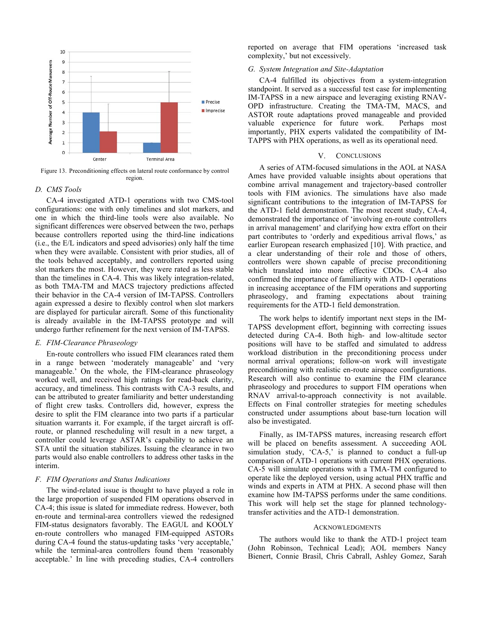

Figure 13. Preconditioning effects on lateral route conformance by control region.

#### *D. CMS Tools*

CA-4 investigated ATD-1 operations with two CMS-tool configurations: one with only timelines and slot markers, and one in which the third-line tools were also available. No significant differences were observed between the two, perhaps because controllers reported using the third-line indications (i.e., the E/L indicators and speed advisories) only half the time when they were available. Consistent with prior studies, all of the tools behaved acceptably, and controllers reported using slot markers the most. However, they were rated as less stable than the timelines in CA-4. This was likely integration-related, as both TMA-TM and MACS trajectory predictions affected their behavior in the CA-4 version of IM-TAPSS. Controllers again expressed a desire to flexibly control when slot markers are displayed for particular aircraft. Some of this functionality is already available in the IM-TAPSS prototype and will undergo further refinement for the next version of IM-TAPSS.

#### *E. FIM-Clearance Phraseology*

En-route controllers who issued FIM clearances rated them in a range between 'moderately manageable' and 'very manageable.' On the whole, the FIM-clearance phraseology worked well, and received high ratings for read-back clarity, accuracy, and timeliness. This contrasts with CA-3 results, and can be attributed to greater familiarity and better understanding of flight crew tasks. Controllers did, however, express the desire to split the FIM clearance into two parts if a particular situation warrants it. For example, if the target aircraft is offroute, or planned rescheduling will result in a new target, a controller could leverage ASTAR's capability to achieve an STA until the situation stabilizes. Issuing the clearance in two parts would also enable controllers to address other tasks in the interim.

## *F. FIM Operations and Status Indications*

The wind-related issue is thought to have played a role in the large proportion of suspended FIM operations observed in CA-4; this issue is slated for immediate redress. However, both en-route and terminal-area controllers viewed the redesigned FIM-status designators favorably. The EAGUL and KOOLY en-route controllers who managed FIM-equipped ASTORs during CA-4 found the status-updating tasks 'very acceptable,' while the terminal-area controllers found them 'reasonably acceptable.' In line with preceding studies, CA-4 controllers

reported on average that FIM operations 'increased task complexity,' but not excessively.

# *G. System Integration and Site-Adaptation*

CA-4 fulfilled its objectives from a system-integration standpoint. It served as a successful test case for implementing IM-TAPSS in a new airspace and leveraging existing RNAV-OPD infrastructure. Creating the TMA-TM, MACS, and ASTOR route adaptations proved manageable and provided valuable experience for future work. Perhaps most importantly, PHX experts validated the compatibility of IM-TAPPS with PHX operations, as well as its operational need.

#### V. CONCLUSIONS

A series of ATM-focused simulations in the AOL at NASA Ames have provided valuable insights about operations that combine arrival management and trajectory-based controller tools with FIM avionics. The simulations have also made significant contributions to the integration of IM-TAPSS for the ATD-1 field demonstration. The most recent study, CA-4, demonstrated the importance of 'involving en-route controllers in arrival management' and clarifying how extra effort on their part contributes to 'orderly and expeditious arrival flows,' as earlier European research emphasized [10]. With practice, and a clear understanding of their role and those of others, controllers were shown capable of precise preconditioning which translated into more effective CDOs. CA-4 also confirmed the importance of familiarity with ATD-1 operations in increasing acceptance of the FIM operations and supporting phraseology, and framing expectations about training requirements for the ATD-1 field demonstration.

The work helps to identify important next steps in the IM-TAPSS development effort, beginning with correcting issues detected during CA-4. Both high- and low-altitude sector positions will have to be staffed and simulated to address workload distribution in the preconditioning process under normal arrival operations; follow-on work will investigate preconditioning with realistic en-route airspace configurations. Research will also continue to examine the FIM clearance phraseology and procedures to support FIM operations when RNAV arrival-to-approach connectivity is not available. Effects on Final controller strategies for meeting schedules constructed under assumptions about base-turn location will also be investigated.

Finally, as IM-TAPSS matures, increasing research effort will be placed on benefits assessment. A succeeding AOL simulation study, 'CA-5,' is planned to conduct a full-up comparison of ATD-1 operations with current PHX operations. CA-5 will simulate operations with a TMA-TM configured to operate like the deployed version, using actual PHX traffic and winds and experts in ATM at PHX. A second phase will then examine how IM-TAPSS performs under the same conditions. This work will help set the stage for planned technologytransfer activities and the ATD-1 demonstration.

#### ACKNOWLEDGMENTS

The authors would like to thank the ATD-1 project team (John Robinson, Technical Lead); AOL members Nancy Bienert, Connie Brasil, Chris Cabrall, Ashley Gomez, Sarah